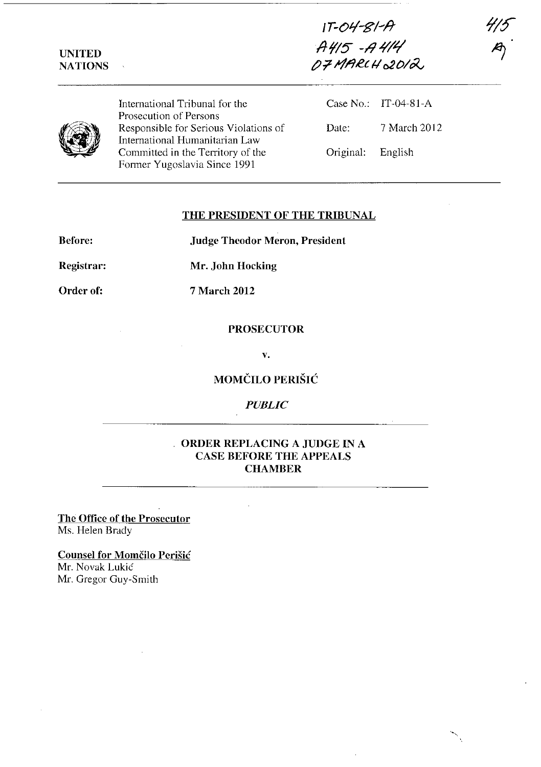| UNITED         |  |
|----------------|--|
| <b>NATIONS</b> |  |

**IT-Ot/-gl-ff 1i/f15"** *-/1.f"I/(*  07 MARCH 2012



International Tribunal for the Prosecution of Persons Responsible for Serious Violations of International Humanitarian Law Committed in the Territory of the Fonner Yugoslavia Since 1991

Case No.: IT-04-81-A Date: 7 March 2012 Original: English

#### **THE PRESIDENT OF THE TRIBUNAL**

**Before:** 

**Judge Thcodor Meron, President** 

**Registrar: Mr. John Hocking** 

Order of:

7 **March 2012** 

### **PROSECUTOR**

**v.** 

# **MOMČILO PERIŠIĆ**

### *PUBLIC*

## **ORDER REPLACING A JUDGE IN A CASE BEFORE THE APPEALS CHAMBER**

**The Office of the Prosecutor**  Ms. Helen Brady

**Counsel for Momcilo Pcrisic**  Mr. Novak Lukić Mr. Gregor Guy-Smith